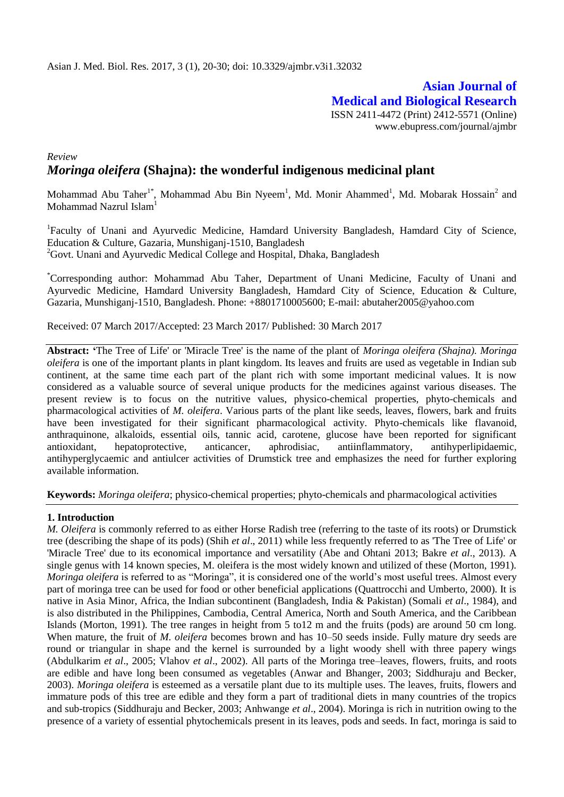**Asian Journal of Medical and Biological Research** ISSN 2411-4472 (Print) 2412-5571 (Online) www.ebupress.com/journal/ajmbr

# *Review Moringa oleifera* **(Shajna): the wonderful indigenous medicinal plant**

Mohammad Abu Taher<sup>1\*</sup>, Mohammad Abu Bin Nyeem<sup>1</sup>, Md. Monir Ahammed<sup>1</sup>, Md. Mobarak Hossain<sup>2</sup> and Mohammad Nazrul Islam<sup>1</sup>

<sup>1</sup>Faculty of Unani and Ayurvedic Medicine, Hamdard University Bangladesh, Hamdard City of Science, Education & Culture, Gazaria, Munshiganj-1510, Bangladesh  ${}^{2}$ Govt. Unani and Ayurvedic Medical College and Hospital, Dhaka, Bangladesh

\*Corresponding author: Mohammad Abu Taher, Department of Unani Medicine, Faculty of Unani and Ayurvedic Medicine, Hamdard University Bangladesh, Hamdard City of Science, Education & Culture, Gazaria, Munshiganj-1510, Bangladesh. Phone: +8801710005600; E-mail: [abutaher2005@yahoo.com](mailto:abutaher2005@yahoo.com)

Received: 07 March 2017/Accepted: 23 March 2017/ Published: 30 March 2017

**Abstract: '**The Tree of Life' or 'Miracle Tree' is the name of the plant of *Moringa oleifera (Shajna). Moringa oleifera* is one of the important plants in plant kingdom. Its leaves and fruits are used as vegetable in Indian sub continent, at the same time each part of the plant rich with some important medicinal values. It is now considered as a valuable source of several unique products for the medicines against various diseases. The present review is to focus on the nutritive values, physico-chemical properties, phyto-chemicals and pharmacological activities of *M. oleifera*. Various parts of the plant like seeds, leaves, flowers, bark and fruits have been investigated for their significant pharmacological activity. Phyto-chemicals like flavanoid, anthraquinone, alkaloids, essential oils, tannic acid, carotene, glucose have been reported for significant antioxidant, hepatoprotective, anticancer, aphrodisiac, antiinflammatory, antihyperlipidaemic, antihyperglycaemic and antiulcer activities of Drumstick tree and emphasizes the need for further exploring available information.

**Keywords:** *Moringa oleifera*; physico-chemical properties; phyto-chemicals and pharmacological activities

### **1. Introduction**

*M. Oleifera* is commonly referred to as either Horse Radish tree (referring to the taste of its roots) or Drumstick tree (describing the shape of its pods) (Shih *et al*., 2011) while less frequently referred to as 'The Tree of Life' or 'Miracle Tree' due to its economical importance and versatility (Abe and Ohtani 2013; Bakre *et al*., 2013). A single genus with 14 known species, M. oleifera is the most widely known and utilized of these (Morton, 1991). *Moringa oleifera* is referred to as "Moringa", it is considered one of the world's most useful trees. Almost every part of moringa tree can be used for food or other beneficial applications (Quattrocchi and Umberto, 2000). It is native in Asia Minor, Africa, the Indian subcontinent (Bangladesh, India & Pakistan) (Somali *et al*., 1984), and is also distributed in the Philippines, Cambodia, Central America, North and South America, and the Caribbean Islands (Morton, 1991). The tree ranges in height from 5 to12 m and the fruits (pods) are around 50 cm long. When mature, the fruit of *M. oleifera* becomes brown and has 10–50 seeds inside. Fully mature dry seeds are round or triangular in shape and the kernel is surrounded by a light woody shell with three papery wings (Abdulkarim *et al*., 2005; Vlahov *et al*., 2002). All parts of the Moringa tree–leaves, flowers, fruits, and roots are edible and have long been consumed as vegetables (Anwar and Bhanger, 2003; Siddhuraju and Becker, 2003). *Moringa oleifera* is esteemed as a versatile plant due to its multiple uses. The leaves, fruits, flowers and immature pods of this tree are edible and they form a part of traditional diets in many countries of the tropics and sub-tropics (Siddhuraju and Becker, 2003; Anhwange *et al*., 2004). Moringa is rich in nutrition owing to the presence of a variety of essential phytochemicals present in its leaves, pods and seeds. In fact, moringa is said to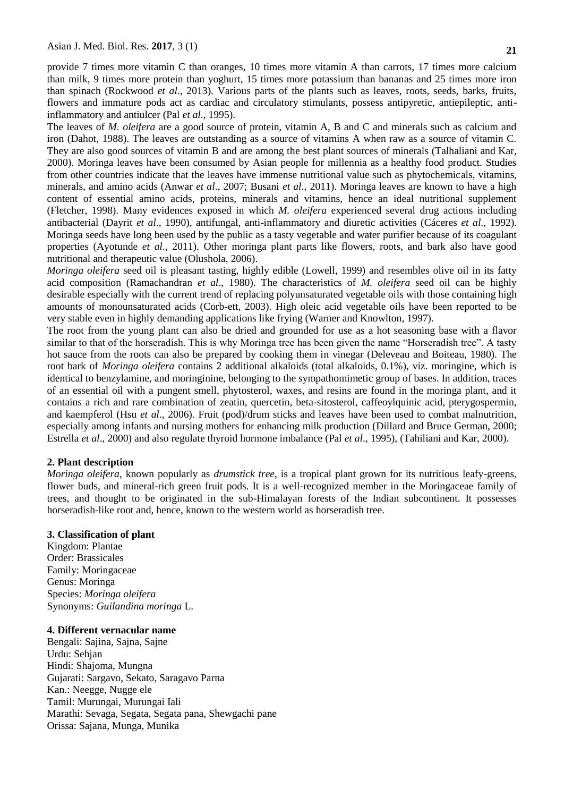provide 7 times more vitamin C than oranges, 10 times more vitamin A than carrots, 17 times more calcium than milk, 9 times more protein than yoghurt, 15 times more potassium than bananas and 25 times more iron than spinach (Rockwood *et al*., 2013). Various parts of the plants such as leaves, roots, seeds, barks, fruits, flowers and immature pods act as cardiac and circulatory stimulants, possess antipyretic, antiepileptic, antiinflammatory and antiulcer (Pal *et al*., 1995).

The leaves of *M. oleifera* are a good source of protein, vitamin A, B and C and minerals such as calcium and iron (Dahot, 1988). The leaves are outstanding as a source of vitamins A when raw as a source of vitamin C. They are also good sources of vitamin B and are among the best plant sources of minerals (Talhaliani and Kar, 2000). Moringa leaves have been consumed by Asian people for millennia as a healthy food product. Studies from other countries indicate that the leaves have immense nutritional value such as phytochemicals, vitamins, minerals, and amino acids (Anwar *et al*., 2007; Busani *et al*., 2011). Moringa leaves are known to have a high content of essential amino acids, proteins, minerals and vitamins, hence an ideal nutritional supplement (Fletcher, 1998). Many evidences exposed in which *M. oleifera* experienced several drug actions including antibacterial (Dayrit *et al*., 1990), antifungal, anti-inflammatory and diuretic activities (Cáceres *et al*., 1992). Moringa seeds have long been used by the public as a tasty vegetable and water purifier because of its coagulant properties (Ayotunde *et al*., 2011). Other moringa plant parts like flowers, roots, and bark also have good nutritional and therapeutic value (Olushola, 2006).

*Moringa oleifera* seed oil is pleasant tasting, highly edible (Lowell, 1999) and resembles olive oil in its fatty acid composition (Ramachandran *et al*., 1980). The characteristics of *M. oleifera* seed oil can be highly desirable especially with the current trend of replacing polyunsaturated vegetable oils with those containing high amounts of monounsaturated acids (Corb-ett, 2003). High oleic acid vegetable oils have been reported to be very stable even in highly demanding applications like frying (Warner and Knowlton, 1997).

The root from the young plant can also be dried and grounded for use as a hot seasoning base with a flavor similar to that of the horseradish. This is why Moringa tree has been given the name "Horseradish tree". A tasty hot sauce from the roots can also be prepared by cooking them in vinegar (Deleveau and Boiteau, 1980). The root bark of *Moringa oleifera* contains 2 additional alkaloids (total alkaloids, 0.1%), viz. moringine, which is identical to benzylamine, and moringinine, belonging to the sympathomimetic group of bases. In addition, traces of an essential oil with a pungent smell, phytosterol, waxes, and resins are found in the moringa plant, and it contains a rich and rare combination of zeatin, quercetin, beta-sitosterol, caffeoylquinic acid, pterygospermin, and kaempferol (Hsu *et al*., 2006). Fruit (pod)/drum sticks and leaves have been used to combat malnutrition, especially among infants and nursing mothers for enhancing milk production (Dillard and Bruce German, 2000; Estrella *et al*., 2000) and also regulate thyroid hormone imbalance (Pal *et al*., 1995), (Tahiliani and Kar, 2000).

#### **2. Plant description**

*Moringa oleifera*, known popularly as *drumstick tree*, is a tropical plant grown for its nutritious leafy-greens, flower buds, and mineral-rich green fruit pods. It is a well-recognized member in the Moringaceae family of trees, and thought to be originated in the sub-Himalayan forests of the Indian subcontinent. It possesses horseradish-like root and, hence, known to the western world as horseradish tree.

### **3. Classification of plant**

Kingdom: Plantae Order: Brassicales Family: Moringaceae Genus: Moringa Species: *Moringa oleifera* Synonyms: *Guilandina moringa* L.

#### **4. Different vernacular name**

Bengali: Sajina, Sajna, Sajne Urdu: Sehjan Hindi: Shajoma, Mungna Gujarati: Sargavo, Sekato, Saragavo Parna Kan.: Neegge, Nugge ele Tamil: Murungai, Murungai Iali Marathi: Sevaga, Segata, Segata pana, Shewgachi pane Orissa: Sajana, Munga, Munika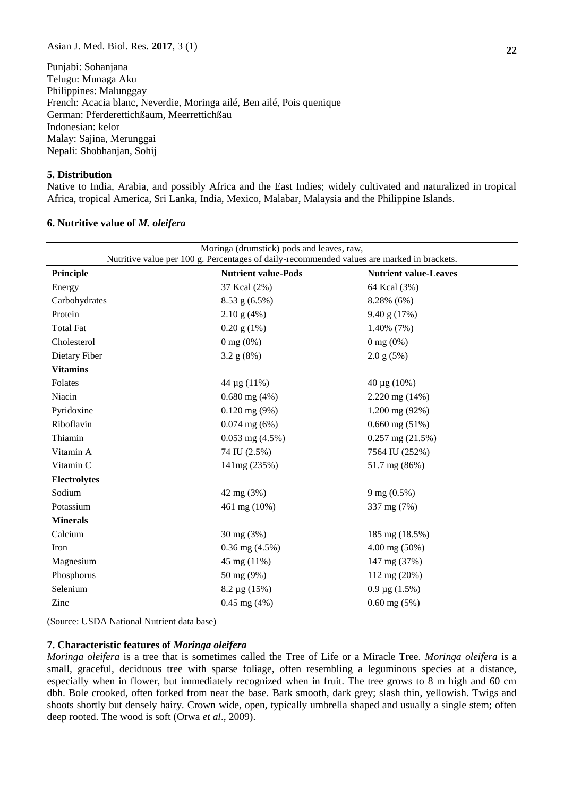Punjabi: Sohanjana Telugu: Munaga Aku Philippines: Malunggay French: Acacia blanc, Neverdie, Moringa ailé, Ben ailé, Pois quenique German: Pferderettichßaum, Meerrettichßau Indonesian: kelor Malay: Sajina, Merunggai Nepali: Shobhanjan, Sohij

#### **5. Distribution**

Native to India, Arabia, and possibly Africa and the East Indies; widely cultivated and naturalized in tropical Africa, tropical America, Sri Lanka, India, Mexico, Malabar, Malaysia and the Philippine Islands.

| Nutritive value per 100 g. Percentages of daily-recommended values are marked in brackets. |                            |                              |  |  |
|--------------------------------------------------------------------------------------------|----------------------------|------------------------------|--|--|
| Principle                                                                                  | <b>Nutrient value-Pods</b> | <b>Nutrient value-Leaves</b> |  |  |
| Energy                                                                                     | 37 Kcal (2%)               | 64 Kcal (3%)                 |  |  |
| Carbohydrates                                                                              | $8.53$ g $(6.5\%)$         | 8.28% (6%)                   |  |  |
| Protein                                                                                    | $2.10$ g $(4%)$            | 9.40 g(17%)                  |  |  |
| <b>Total Fat</b>                                                                           | $0.20$ g $(1\%)$           | $1.40\%$ (7%)                |  |  |
| Cholesterol                                                                                | $0 \text{ mg } (0\%)$      | $0 \text{ mg } (0\%)$        |  |  |
| Dietary Fiber                                                                              | 3.2 g(8%)                  | $2.0$ g $(5%)$               |  |  |
| <b>Vitamins</b>                                                                            |                            |                              |  |  |
| Folates                                                                                    | 44 µg (11%)                | 40 μg (10%)                  |  |  |
| Niacin                                                                                     | $0.680$ mg $(4%)$          | $2.220$ mg $(14%)$           |  |  |
| Pyridoxine                                                                                 | $0.120$ mg $(9\%)$         | 1.200 mg (92%)               |  |  |
| Riboflavin                                                                                 | $0.074$ mg $(6%)$          | $0.660$ mg $(51\%)$          |  |  |
| Thiamin                                                                                    | $0.053$ mg $(4.5\%)$       | $0.257$ mg $(21.5\%)$        |  |  |
| Vitamin A                                                                                  | 74 IU (2.5%)               | 7564 IU (252%)               |  |  |
| Vitamin C                                                                                  | 141mg (235%)               | 51.7 mg (86%)                |  |  |
| <b>Electrolytes</b>                                                                        |                            |                              |  |  |
| Sodium                                                                                     | 42 mg (3%)                 | $9 \text{ mg } (0.5\%)$      |  |  |
| Potassium                                                                                  | 461 mg (10%)               | 337 mg (7%)                  |  |  |
| <b>Minerals</b>                                                                            |                            |                              |  |  |
| Calcium                                                                                    | 30 mg (3%)                 | 185 mg (18.5%)               |  |  |
| Iron                                                                                       | $0.36$ mg $(4.5\%)$        | $4.00$ mg $(50\%)$           |  |  |
| Magnesium                                                                                  | 45 mg (11%)                | 147 mg (37%)                 |  |  |
| Phosphorus                                                                                 | 50 mg (9%)                 | 112 mg (20%)                 |  |  |
| Selenium                                                                                   | 8.2 µg (15%)               | $0.9 \mu g$ (1.5%)           |  |  |
| Zinc                                                                                       | $0.45$ mg $(4%)$           | $0.60$ mg $(5%)$             |  |  |

#### **6. Nutritive value of** *M. oleifera*

(Source: USDA National Nutrient data base)

#### **7. Characteristic features of** *Moringa oleifera*

*Moringa oleifera* is a tree that is sometimes called the Tree of Life or a Miracle Tree. *Moringa oleifera* is a small, graceful, deciduous tree with sparse foliage, often resembling a leguminous species at a distance, especially when in flower, but immediately recognized when in fruit. The tree grows to 8 m high and 60 cm dbh. Bole crooked, often forked from near the base. Bark smooth, dark grey; slash thin, yellowish. Twigs and shoots shortly but densely hairy. Crown wide, open, typically umbrella shaped and usually a single stem; often deep rooted. The wood is soft (Orwa *et al*., 2009).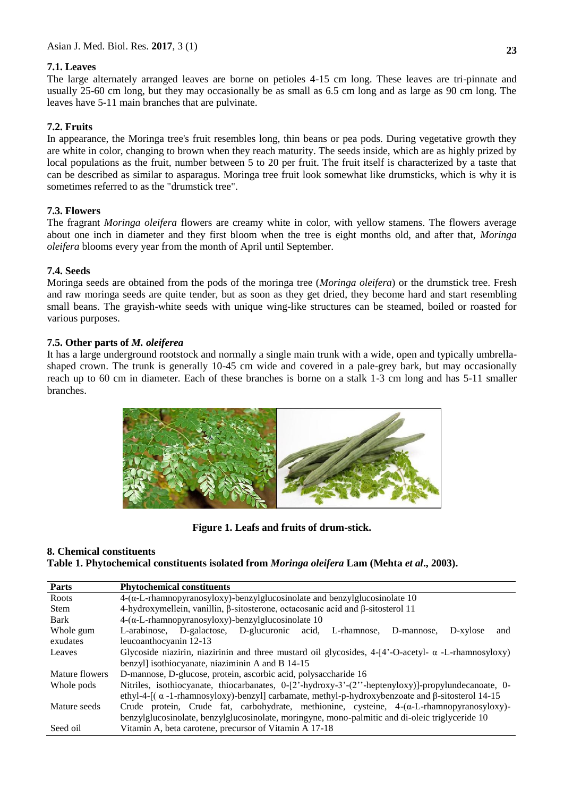## **7.1. Leaves**

The large alternately arranged leaves are borne on petioles 4-15 cm long. These leaves are tri-pinnate and usually 25-60 cm long, but they may occasionally be as small as 6.5 cm long and as large as 90 cm long. The leaves have 5-11 main branches that are pulvinate.

# **7.2. Fruits**

In appearance, the Moringa tree's fruit resembles long, thin beans or pea pods. During vegetative growth they are white in color, changing to brown when they reach maturity. The seeds inside, which are as highly prized by local populations as the fruit, number between 5 to 20 per fruit. The fruit itself is characterized by a taste that can be described as similar to asparagus. Moringa tree fruit look somewhat like drumsticks, which is why it is sometimes referred to as the "drumstick tree".

## **7.3. Flowers**

The fragrant *Moringa oleifera* flowers are creamy white in color, with yellow stamens. The flowers average about one inch in diameter and they first bloom when the tree is eight months old, and after that, *Moringa oleifera* blooms every year from the month of April until September.

## **7.4. Seeds**

Moringa seeds are obtained from the pods of the moringa tree (*Moringa oleifera*) or the drumstick tree. Fresh and raw moringa seeds are quite tender, but as soon as they get dried, they become hard and start resembling small beans. The grayish-white seeds with unique wing-like structures can be steamed, boiled or roasted for various purposes.

## **7.5. Other parts of** *M. oleiferea*

It has a large underground rootstock and normally a single main trunk with a wide, open and typically umbrellashaped crown. The trunk is generally 10-45 cm wide and covered in a pale-grey bark, but may occasionally reach up to 60 cm in diameter. Each of these branches is borne on a stalk 1-3 cm long and has 5-11 smaller branches.



**Figure 1. Leafs and fruits of drum-stick.**

## **8. Chemical constituents**

**Table 1. Phytochemical constituents isolated from** *Moringa oleifera* **Lam (Mehta** *et al***., 2003).**

| Parts          | <b>Phytochemical constituents</b>                                                                                           |  |  |  |
|----------------|-----------------------------------------------------------------------------------------------------------------------------|--|--|--|
| Roots          | $4-(\alpha$ -L-rhamnopyranosyloxy)-benzylglucosinolate and benzylglucosinolate 10                                           |  |  |  |
| <b>Stem</b>    | 4-hydroxymellein, vanillin, $\beta$ -sitosterone, octacosanic acid and $\beta$ -sitosterol 11                               |  |  |  |
| Bark           | $4-(\alpha$ -L-rhamnopyranosyloxy)-benzylglucosinolate 10                                                                   |  |  |  |
| Whole gum      | L-arabinose, D-galactose, D-glucuronic acid, L-rhamnose, D-mannose,<br>D-xylose<br>and                                      |  |  |  |
| exudates       | leucoanthocyanin 12-13                                                                                                      |  |  |  |
| Leaves         | Glycoside niazirin, niazirinin and three mustard oil glycosides, $4-[4^{\circ}-0\text{-}acety]$ - $\alpha$ -L-rhamnosyloxy) |  |  |  |
|                | benzyl] isothiocyanate, niaziminin A and B 14-15                                                                            |  |  |  |
| Mature flowers | D-mannose, D-glucose, protein, ascorbic acid, polysaccharide 16                                                             |  |  |  |
| Whole pods     | Nitriles, isothiocyanate, thiocarbanates, 0-[2'-hydroxy-3'-(2''-heptenyloxy)]-propylundecanoate, 0-                         |  |  |  |
|                | ethyl-4-[ $(\alpha$ -1-rhamnosyloxy)-benzyl] carbamate, methyl-p-hydroxybenzoate and $\beta$ -sitosterol 14-15              |  |  |  |
| Mature seeds   | Crude protein, Crude fat, carbohydrate, methionine, cysteine, $4-(\alpha-L-rhamnopyranosyloxy)$ -                           |  |  |  |
|                | benzylglucosinolate, benzylglucosinolate, moringyne, mono-palmitic and di-oleic triglyceride 10                             |  |  |  |
| Seed oil       | Vitamin A, beta carotene, precursor of Vitamin A 17-18                                                                      |  |  |  |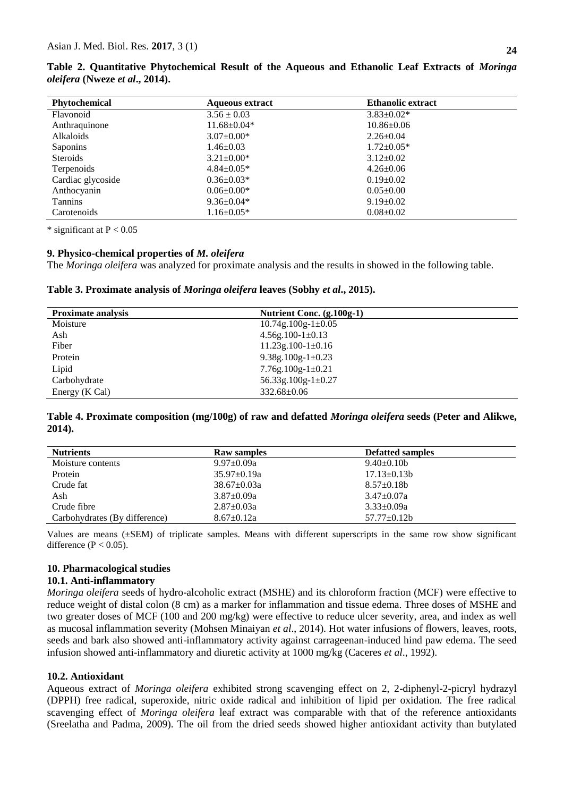| <b>Phytochemical</b> | <b>Aqueous extract</b> | <b>Ethanolic extract</b> |
|----------------------|------------------------|--------------------------|
| Flavonoid            | $3.56 \pm 0.03$        | $3.83 \pm 0.02*$         |
| Anthraquinone        | $11.68 \pm 0.04*$      | $10.86 \pm 0.06$         |
| Alkaloids            | $3.07 \pm 0.00*$       | $2.26 \pm 0.04$          |
| Saponins             | $1.46 \pm 0.03$        | $1.72 \pm 0.05*$         |
| <b>Steroids</b>      | $3.21 \pm 0.00*$       | $3.12 \pm 0.02$          |
| Terpenoids           | $4.84 \pm 0.05*$       | $4.26 \pm 0.06$          |
| Cardiac glycoside    | $0.36 \pm 0.03*$       | $0.19 \pm 0.02$          |
| Anthocyanin          | $0.06 \pm 0.00*$       | $0.05 \pm 0.00$          |
| <b>Tannins</b>       | $9.36 \pm 0.04*$       | $9.19 \pm 0.02$          |
| Carotenoids          | $1.16 \pm 0.05*$       | $0.08 \pm 0.02$          |

**Table 2. Quantitative Phytochemical Result of the Aqueous and Ethanolic Leaf Extracts of** *Moringa oleifera* **(Nweze** *et al***., 2014).**

\* significant at  $P < 0.05$ 

## **9. Physico-chemical properties of** *M. oleifera*

The *Moringa oleifera* was analyzed for proximate analysis and the results in showed in the following table.

**Table 3. Proximate analysis of** *Moringa oleifera* **leaves (Sobhy** *et al***., 2015).**

| <b>Proximate analysis</b> | Nutrient Conc. (g.100g-1) |
|---------------------------|---------------------------|
| Moisture                  | $10.74g.100g-1\pm0.05$    |
| Ash                       | $4.56g.100-1\pm0.13$      |
| Fiber                     | $11.23g.100-1\pm0.16$     |
| Protein                   | 9.38g.100g-1 $\pm$ 0.23   |
| Lipid                     | $7.76g.100g-1\pm0.21$     |
| Carbohydrate              | 56.33g.100g-1 $\pm$ 0.27  |
| Energy (K Cal)            | $332.68 \pm 0.06$         |

**Table 4. Proximate composition (mg/100g) of raw and defatted** *Moringa oleifera* **seeds (Peter and Alikwe, 2014).**

| <b>Nutrients</b>              | <b>Raw samples</b> | <b>Defatted samples</b> |
|-------------------------------|--------------------|-------------------------|
| Moisture contents             | $9.97 \pm 0.09a$   | $9.40 \pm 0.10b$        |
| Protein                       | $35.97 \pm 0.19a$  | $17.13 \pm 0.13 b$      |
| Crude fat                     | $38.67 \pm 0.03a$  | $8.57+0.18b$            |
| Ash                           | $3.87 \pm 0.09a$   | $3.47 + 0.07a$          |
| Crude fibre                   | $2.87 \pm 0.03a$   | $3.33 \pm 0.09a$        |
| Carbohydrates (By difference) | $8.67 \pm 0.12a$   | $57.77 \pm 0.12$ b      |

Values are means (±SEM) of triplicate samples. Means with different superscripts in the same row show significant difference ( $P < 0.05$ ).

#### **10. Pharmacological studies**

#### **10.1. Anti-inflammatory**

*Moringa oleifera* seeds of hydro-alcoholic extract (MSHE) and its chloroform fraction (MCF) were effective to reduce weight of distal colon (8 cm) as a marker for inflammation and tissue edema. Three doses of MSHE and two greater doses of MCF (100 and 200 mg/kg) were effective to reduce ulcer severity, area, and index as well as mucosal inflammation severity [\(Mohsen Minaiyan](http://www.ncbi.nlm.nih.gov/pubmed/?term=Minaiyan%20M%5BAuthor%5D&cauthor=true&cauthor_uid=25050310) *et al*., 2014). Hot water infusions of flowers, leaves, roots, seeds and bark also showed anti-inflammatory activity against carrageenan-induced hind paw edema. The seed infusion showed anti-inflammatory and diuretic activity at 1000 mg/kg (Caceres *et al*., 1992).

#### **10.2. Antioxidant**

Aqueous extract of *Moringa oleifera* exhibited strong scavenging effect on 2, 2-diphenyl-2-picryl hydrazyl (DPPH) free radical, superoxide, nitric oxide radical and inhibition of lipid per oxidation. The free radical scavenging effect of *Moringa oleifera* leaf extract was comparable with that of the reference antioxidants (Sreelatha and Padma, 2009). The oil from the dried seeds showed higher antioxidant activity than butylated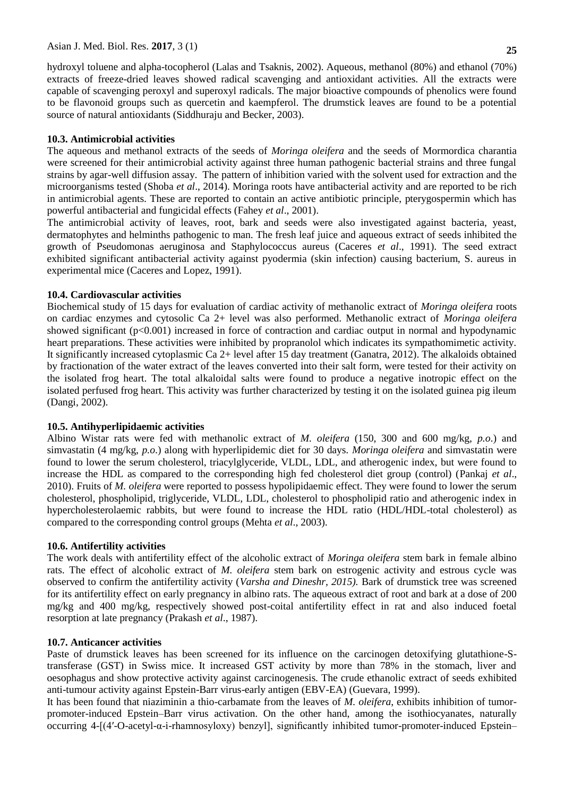#### Asian J. Med. Biol. Res. **2017**, 3 (1)

hydroxyl toluene and alpha-tocopherol (Lalas and Tsaknis, 2002). Aqueous, methanol (80%) and ethanol (70%) extracts of freeze-dried leaves showed radical scavenging and antioxidant activities. All the extracts were capable of scavenging peroxyl and superoxyl radicals. The major bioactive compounds of phenolics were found to be flavonoid groups such as quercetin and kaempferol. The drumstick leaves are found to be a potential source of natural antioxidants (Siddhuraju and Becker, 2003).

### **10.3. Antimicrobial activities**

The aqueous and methanol extracts of the seeds of *Moringa oleifera* and the seeds of Mormordica charantia were screened for their antimicrobial activity against three human pathogenic bacterial strains and three fungal strains by agar-well diffusion assay. The pattern of inhibition varied with the solvent used for extraction and the microorganisms tested (Shoba *et al*., 2014). Moringa roots have antibacterial activity and are reported to be rich in antimicrobial agents. These are reported to contain an active antibiotic principle, pterygospermin which has powerful antibacterial and fungicidal effects (Fahey *et al*., 2001).

The antimicrobial activity of leaves, root, bark and seeds were also investigated against bacteria, yeast, dermatophytes and helminths pathogenic to man. The fresh leaf juice and aqueous extract of seeds inhibited the growth of Pseudomonas aeruginosa and Staphylococcus aureus (Caceres *et al*., 1991). The seed extract exhibited significant antibacterial activity against pyodermia (skin infection) causing bacterium, S. aureus in experimental mice (Caceres and Lopez, 1991).

### **10.4. Cardiovascular activities**

Biochemical study of 15 days for evaluation of cardiac activity of methanolic extract of *Moringa oleifera* roots on cardiac enzymes and cytosolic Ca 2+ level was also performed. Methanolic extract of *Moringa oleifera* showed significant (p<0.001) increased in force of contraction and cardiac output in normal and hypodynamic heart preparations. These activities were inhibited by propranolol which indicates its sympathomimetic activity. It significantly increased cytoplasmic Ca 2+ level after 15 day treatment (Ganatra, 2012). The alkaloids obtained by fractionation of the water extract of the leaves converted into their salt form, were tested for their activity on the isolated frog heart. The total alkaloidal salts were found to produce a negative inotropic effect on the isolated perfused frog heart. This activity was further characterized by testing it on the isolated guinea pig ileum (Dangi, 2002).

#### **10.5. Antihyperlipidaemic activities**

Albino Wistar rats were fed with methanolic extract of *M. oleifera* (150, 300 and 600 mg/kg, *p.o*.) and simvastatin (4 mg/kg, *p.o*.) along with hyperlipidemic diet for 30 days. *Moringa oleifera* and simvastatin were found to lower the serum cholesterol, triacylglyceride, VLDL, LDL, and atherogenic index, but were found to increase the HDL as compared to the corresponding high fed cholesterol diet group (control) (Pankaj *et al*., 2010). Fruits of *M. oleifera* were reported to possess hypolipidaemic effect. They were found to lower the serum cholesterol, phospholipid, triglyceride, VLDL, LDL, cholesterol to phospholipid ratio and atherogenic index in hypercholesterolaemic rabbits, but were found to increase the HDL ratio (HDL/HDL-total cholesterol) as compared to the corresponding control groups (Mehta *et al*., 2003).

#### **10.6. Antifertility activities**

The work deals with antifertility effect of the alcoholic extract of *Moringa oleifera* stem bark in female albino rats. The effect of alcoholic extract of *M. oleifera* stem bark on estrogenic activity and estrous cycle was observed to confirm the antifertility activity (*Varsha and Dineshr, 2015).* Bark of drumstick tree was screened for its antifertility effect on early pregnancy in albino rats. The aqueous extract of root and bark at a dose of 200 mg/kg and 400 mg/kg, respectively showed post-coital antifertility effect in rat and also induced foetal resorption at late pregnancy (Prakash *et al*., 1987).

#### **10.7. Anticancer activities**

Paste of drumstick leaves has been screened for its influence on the carcinogen detoxifying glutathione-Stransferase (GST) in Swiss mice. It increased GST activity by more than 78% in the stomach, liver and oesophagus and show protective activity against carcinogenesis. The crude ethanolic extract of seeds exhibited anti-tumour activity against Epstein-Barr virus-early antigen (EBV-EA) (Guevara, 1999).

It has been found that niaziminin a thio-carbamate from the leaves of *M. oleifera*, exhibits inhibition of tumorpromoter-induced Epstein–Barr virus activation. On the other hand, among the isothiocyanates, naturally occurring 4-[(4′-O-acetyl-α-i-rhamnosyloxy) benzyl], significantly inhibited tumor-promoter-induced Epstein–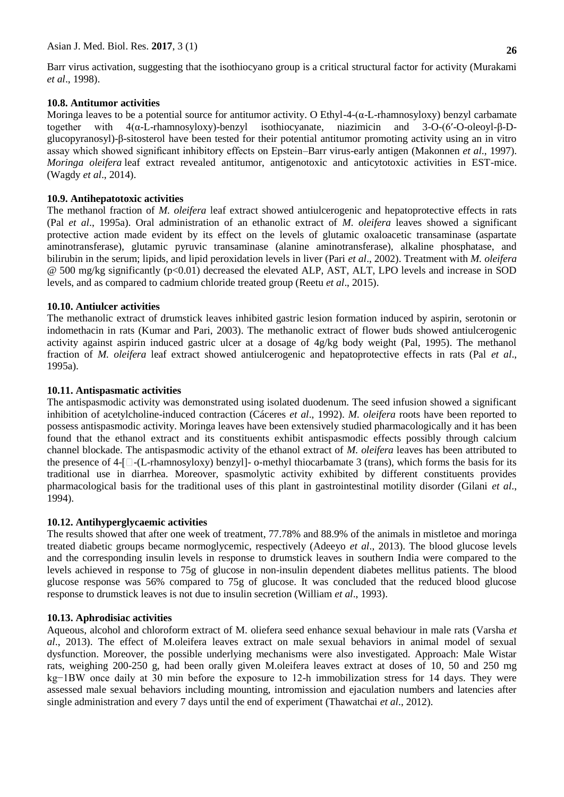Barr virus activation, suggesting that the isothiocyano group is a critical structural factor for activity (Murakami *et al*., 1998).

## **10.8. Antitumor activities**

Moringa leaves to be a potential source for antitumor activity. O Ethyl-4- $(\alpha$ -L-rhamnosyloxy) benzyl carbamate together with 4(α-L-rhamnosyloxy)-benzyl isothiocyanate, niazimicin and 3-O-(6′-O-oleoyl-β-Dglucopyranosyl)-β-sitosterol have been tested for their potential antitumor promoting activity using an in vitro assay which showed significant inhibitory effects on Epstein–Barr virus-early antigen (Makonnen *et al*., 1997). *Moringa oleifera* leaf extract revealed antitumor, antigenotoxic and anticytotoxic activities in EST-mice. (Wagdy *et al*., 2014).

## **10.9. Antihepatotoxic activities**

The methanol fraction of *M. oleifera* leaf extract showed antiulcerogenic and hepatoprotective effects in rats (Pal *et al*., 1995a). Oral administration of an ethanolic extract of *M. oleifera* leaves showed a significant protective action made evident by its effect on the levels of glutamic oxaloacetic transaminase (aspartate aminotransferase), glutamic pyruvic transaminase (alanine aminotransferase), alkaline phosphatase, and bilirubin in the serum; lipids, and lipid peroxidation levels in liver (Pari *et al*., 2002). Treatment with *M. oleifera* @ 500 mg/kg significantly (p<0.01) decreased the elevated ALP, AST, ALT, LPO levels and increase in SOD levels, and as compared to cadmium chloride treated group [\(Reetu](http://www.ncbi.nlm.nih.gov/pubmed/?term=Toppo%20R%5BAuthor%5D&cauthor=true&cauthor_uid=27047130) *et al*., 2015).

## **10.10. Antiulcer activities**

The methanolic extract of drumstick leaves inhibited gastric lesion formation induced by aspirin, serotonin or indomethacin in rats (Kumar and Pari, 2003). The methanolic extract of flower buds showed antiulcerogenic activity against aspirin induced gastric ulcer at a dosage of 4g/kg body weight (Pal, 1995). The methanol fraction of *M. oleifera* leaf extract showed antiulcerogenic and hepatoprotective effects in rats (Pal *et al*., 1995a).

## **10.11. Antispasmatic activities**

The antispasmodic activity was demonstrated using isolated duodenum. The seed infusion showed a significant inhibition of acetylcholine-induced contraction (Cáceres *et al*., 1992). *M. oleifera* roots have been reported to possess antispasmodic activity. Moringa leaves have been extensively studied pharmacologically and it has been found that the ethanol extract and its constituents exhibit antispasmodic effects possibly through calcium channel blockade. The antispasmodic activity of the ethanol extract of *M. oleifera* leaves has been attributed to the presence of 4- $\Box$ -(L-rhamnosyloxy) benzyl $\Box$ - o-methyl thiocarbamate 3 (trans), which forms the basis for its traditional use in diarrhea. Moreover, spasmolytic activity exhibited by different constituents provides pharmacological basis for the traditional uses of this plant in gastrointestinal motility disorder (Gilani *et al*., 1994).

## **10.12. Antihyperglycaemic activities**

The results showed that after one week of treatment, 77.78% and 88.9% of the animals in mistletoe and moringa treated diabetic groups became normoglycemic, respectively (Adeeyo *et al*., 2013). The blood glucose levels and the corresponding insulin levels in response to drumstick leaves in southern India were compared to the levels achieved in response to 75g of glucose in non-insulin dependent diabetes mellitus patients. The blood glucose response was 56% compared to 75g of glucose. It was concluded that the reduced blood glucose response to drumstick leaves is not due to insulin secretion (William *et al*., 1993).

## **10.13. Aphrodisiac activities**

Aqueous, alcohol and chloroform extract of M. oliefera seed enhance sexual behaviour in male rats (Varsha *et al*., 2013). The effect of M.oleifera leaves extract on male sexual behaviors in animal model of sexual dysfunction. Moreover, the possible underlying mechanisms were also investigated. Approach: Male Wistar rats, weighing 200-250 g, had been orally given M.oleifera leaves extract at doses of 10, 50 and 250 mg kg−1BW once daily at 30 min before the exposure to 12-h immobilization stress for 14 days. They were assessed male sexual behaviors including mounting, intromission and ejaculation numbers and latencies after single administration and every 7 days until the end of experiment (Thawatchai *et al*., 2012).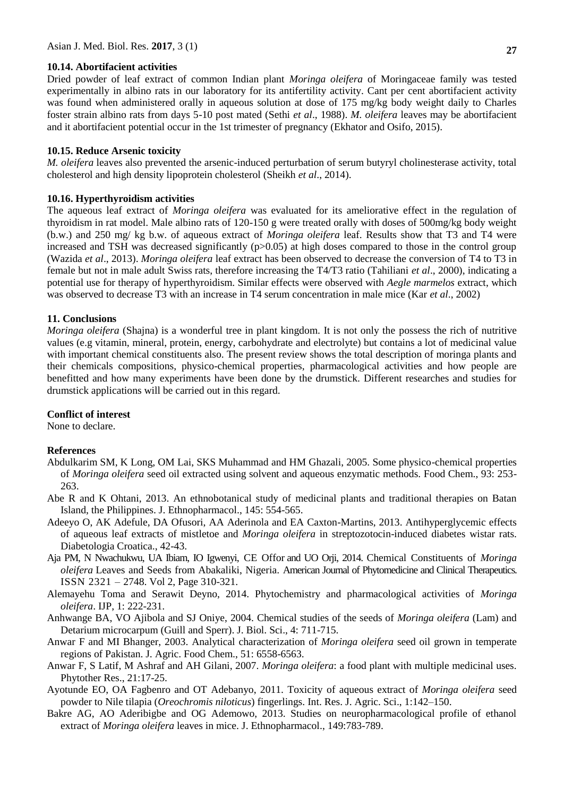### **10.14. Abortifacient activities**

Dried powder of leaf extract of common Indian plant *Moringa oleifera* of Moringaceae family was tested experimentally in albino rats in our laboratory for its antifertility activity. Cant per cent abortifacient activity was found when administered orally in aqueous solution at dose of 175 mg/kg body weight daily to Charles foster strain albino rats from days 5-10 post mated [\(Sethi](http://www.ncbi.nlm.nih.gov/pubmed/?term=Sethi%20N%5BAuthor%5D&cauthor=true&cauthor_uid=22557610) *et al*., 1988). *M. oleifera* leaves may be abortifacient and it abortifacient potential occur in the 1st trimester of pregnancy (Ekhator and Osifo, 2015).

### **10.15. Reduce Arsenic toxicity**

*M. oleifera* leaves also prevented the arsenic-induced perturbation of serum butyryl cholinesterase activity, total cholesterol and high density lipoprotein cholesterol (Sheikh *et al*., 2014).

### **10.16. Hyperthyroidism activities**

The aqueous leaf extract of *Moringa oleifera* was evaluated for its ameliorative effect in the regulation of thyroidism in rat model. Male albino rats of 120-150 g were treated orally with doses of 500mg/kg body weight (b.w.) and 250 mg/ kg b.w. of aqueous extract of *Moringa oleifera* leaf. Results show that T3 and T4 were increased and TSH was decreased significantly  $(p>0.05)$  at high doses compared to those in the control group (Wazida *et al*., 2013). *Moringa oleifera* leaf extract has been observed to decrease the conversion of T4 to T3 in female but not in male adult Swiss rats, therefore increasing the T4/T3 ratio (Tahiliani *et al*., 2000), indicating a potential use for therapy of hyperthyroidism. Similar effects were observed with *Aegle marmelos* extract, which was observed to decrease T3 with an increase in T4 serum concentration in male mice (Kar *et al*., 2002)

### **11. Conclusions**

*Moringa oleifera* (Shajna) is a wonderful tree in plant kingdom. It is not only the possess the rich of nutritive values (e.g vitamin, mineral, protein, energy, carbohydrate and electrolyte) but contains a lot of medicinal value with important chemical constituents also. The present review shows the total description of moringa plants and their chemicals compositions, physico-chemical properties, pharmacological activities and how people are benefitted and how many experiments have been done by the drumstick. Different researches and studies for drumstick applications will be carried out in this regard.

#### **Conflict of interest**

None to declare.

### **References**

- Abdulkarim SM, K Long, OM Lai, SKS Muhammad and HM Ghazali, 2005. Some physico-chemical properties of *Moringa oleifera* seed oil extracted using solvent and aqueous enzymatic methods. Food Chem., 93: 253- 263.
- Abe R and K Ohtani, 2013. An ethnobotanical study of medicinal plants and traditional therapies on Batan Island, the Philippines. J. Ethnopharmacol., 145: 554-565.
- Adeeyo O, AK Adefule, DA Ofusori, AA Aderinola and EA Caxton-Martins, 2013. Antihyperglycemic effects of aqueous leaf extracts of mistletoe and *Moringa oleifera* in streptozotocin-induced diabetes wistar rats. Diabetologia Croatica., 42-43.
- Aja PM, N Nwachukwu, UA Ibiam, IO Igwenyi, CE Offor and UO Orji, 2014. Chemical Constituents of *Moringa oleifera* Leaves and Seeds from Abakaliki, Nigeria. American Journal of Phytomedicine and Clinical Therapeutics. ISSN 2321 – 2748. Vol 2, Page 310-321.
- Alemayehu Toma and Serawit Deyno, 2014. Phytochemistry and pharmacological activities of *Moringa oleifera*. IJP, 1: 222-231.
- Anhwange BA, VO Ajibola and SJ Oniye, 2004. Chemical studies of the seeds of *Moringa oleifera* (Lam) and Detarium microcarpum (Guill and Sperr). J. Biol. Sci., 4: 711-715.
- Anwar F and MI Bhanger, 2003. Analytical characterization of *Moringa oleifera* seed oil grown in temperate regions of Pakistan. J. Agric. Food Chem., 51: 6558-6563.
- Anwar F, S Latif, M Ashraf and AH Gilani, 2007. *Moringa oleifera*: a food plant with multiple medicinal uses. Phytother Res., 21:17-25.
- Ayotunde EO, OA Fagbenro and OT Adebanyo, 2011. Toxicity of aqueous extract of *Moringa oleifera* seed powder to Nile tilapia (*Oreochromis niloticus*) fingerlings. Int. Res. J. Agric. Sci., 1:142–150.
- Bakre AG, AO Aderibigbe and OG Ademowo, 2013. Studies on neuropharmacological profile of ethanol extract of *Moringa oleifera* leaves in mice. J. Ethnopharmacol., 149:783-789.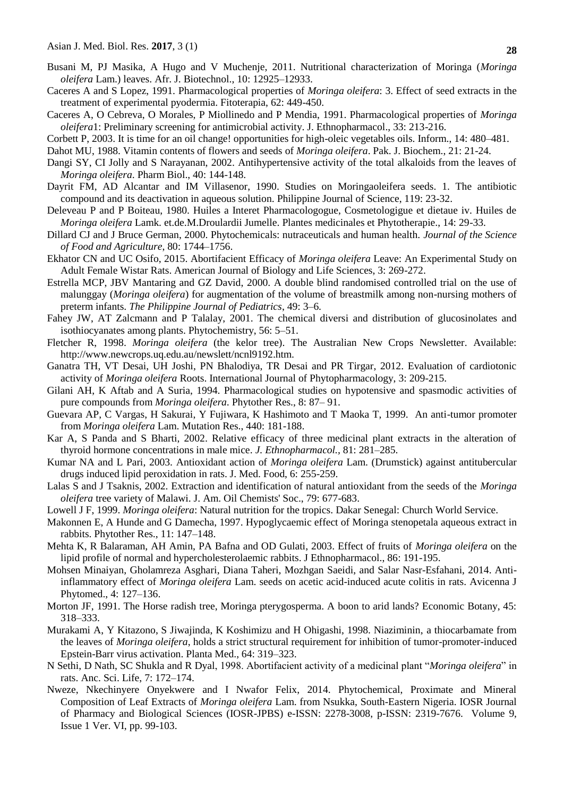- Busani M, PJ Masika, A Hugo and V Muchenje, 2011. Nutritional characterization of Moringa (*Moringa oleifera* Lam.) leaves. Afr. J. Biotechnol., 10: 12925–12933.
- Caceres A and S Lopez, 1991. Pharmacological properties of *Moringa oleifera*: 3. Effect of seed extracts in the treatment of experimental pyodermia. Fitoterapia, 62: 449-450.
- Caceres A, O Cebreva, O Morales, P Miollinedo and P Mendia, 1991. Pharmacological properties of *Moringa oleifera*1: Preliminary screening for antimicrobial activity. J. Ethnopharmacol., 33: 213-216.
- Corbett P, 2003. It is time for an oil change! opportunities for high-oleic vegetables oils. Inform., 14: 480–481.

Dahot MU, 1988. Vitamin contents of flowers and seeds of *Moringa oleifera*. Pak. J. Biochem., 21: 21-24.

- Dangi SY, CI Jolly and S Narayanan, 2002. Antihypertensive activity of the total alkaloids from the leaves of *Moringa oleifera*. Pharm Biol., 40: 144-148.
- Dayrit FM, AD Alcantar and IM Villasenor, 1990. Studies on Moringaoleifera seeds. 1. The antibiotic compound and its deactivation in aqueous solution. Philippine Journal of Science, 119: 23-32.
- Deleveau P and P Boiteau, 1980. Huiles a Interet Pharmacologogue, Cosmetologigue et dietaue iv. Huiles de *Moringa oleifera* Lamk. et.de.M.Droulardii Jumelle. Plantes medicinales et Phytotherapie., 14: 29-33.
- Dillard CJ and J Bruce German, 2000. Phytochemicals: nutraceuticals and human health. *Journal of the Science of Food and Agriculture*, 80: 1744–1756.
- Ekhator CN and UC Osifo, 2015. Abortifacient Efficacy of *Moringa oleifera* Leave: An Experimental Study on Adult Female Wistar Rats. American Journal of Biology and Life Sciences, 3: 269-272.
- Estrella MCP, JBV Mantaring and GZ David, 2000. A double blind randomised controlled trial on the use of malunggay (*Moringa oleifera*) for augmentation of the volume of breastmilk among non-nursing mothers of preterm infants. *The Philippine Journal of Pediatrics*, 49: 3–6.
- Fahey JW, AT Zalcmann and P Talalay, 2001. The chemical diversi and distribution of glucosinolates and isothiocyanates among plants. Phytochemistry, 56: 5–51.
- Fletcher R, 1998. *Moringa oleifera* (the kelor tree). The Australian New Crops Newsletter. Available: http://www.newcrops.uq.edu.au/newslett/ncnl9192.htm.
- Ganatra TH, VT Desai, UH Joshi, PN Bhalodiya, TR Desai and PR Tirgar, 2012. Evaluation of cardiotonic activity of *Moringa oleifera* Roots. International Journal of Phytopharmacology, 3: 209-215.
- Gilani AH, K Aftab and A Suria, 1994. Pharmacological studies on hypotensive and spasmodic activities of pure compounds from *Moringa oleifera*. Phytother Res., 8: 87– 91.
- Guevara AP, C Vargas, H Sakurai, Y Fujiwara, K Hashimoto and T Maoka T, 1999. An anti-tumor promoter from *Moringa oleifera* Lam. Mutation Res., 440: 181-188.
- Kar A, S Panda and S Bharti, 2002. Relative efficacy of three medicinal plant extracts in the alteration of thyroid hormone concentrations in male mice. *J. Ethnopharmacol.,* 81: 281–285.
- Kumar NA and L Pari, 2003. Antioxidant action of *Moringa oleifera* Lam. (Drumstick) against antitubercular drugs induced lipid peroxidation in rats. J. Med. Food, 6: 255-259.
- Lalas S and J Tsaknis, 2002. Extraction and identification of natural antioxidant from the seeds of the *Moringa oleifera* tree variety of Malawi. J. Am. Oil Chemists' Soc., 79: 677-683.
- Lowell J F, 1999. *Moringa oleifera*: Natural nutrition for the tropics. Dakar Senegal: Church World Service.
- Makonnen E, A Hunde and G Damecha, 1997. Hypoglycaemic effect of Moringa stenopetala aqueous extract in rabbits. Phytother Res., 11: 147–148.
- Mehta K, R Balaraman, AH Amin, PA Bafna and OD Gulati, 2003. Effect of fruits of *Moringa oleifera* on the lipid profile of normal and hypercholesterolaemic rabbits. J Ethnopharmacol., 86: 191-195.
- [Mohsen Minaiyan,](http://www.ncbi.nlm.nih.gov/pubmed/?term=Minaiyan%20M%5BAuthor%5D&cauthor=true&cauthor_uid=25050310) [Gholamreza Asghari,](http://www.ncbi.nlm.nih.gov/pubmed/?term=Asghari%20G%5BAuthor%5D&cauthor=true&cauthor_uid=25050310) [Diana Taheri,](http://www.ncbi.nlm.nih.gov/pubmed/?term=Taheri%20D%5BAuthor%5D&cauthor=true&cauthor_uid=25050310) [Mozhgan Saeidi,](http://www.ncbi.nlm.nih.gov/pubmed/?term=Saeidi%20M%5BAuthor%5D&cauthor=true&cauthor_uid=25050310) and [Salar Nasr-Esfahani,](http://www.ncbi.nlm.nih.gov/pubmed/?term=Nasr-Esfahani%20S%5BAuthor%5D&cauthor=true&cauthor_uid=25050310) 2014. Antiinflammatory effect of *Moringa oleifera* Lam. seeds on acetic acid-induced acute colitis in rats. Avicenna J Phytomed., 4: 127–136.
- Morton JF, 1991. The Horse radish tree, Moringa pterygosperma. A boon to arid lands? Economic Botany, 45: 318–333.
- Murakami A, Y Kitazono, S Jiwajinda, K Koshimizu and H Ohigashi, 1998. Niaziminin, a thiocarbamate from the leaves of *Moringa oleifera*, holds a strict structural requirement for inhibition of tumor-promoter-induced Epstein-Barr virus activation. Planta Med., 64: 319–323.
- [N Sethi,](http://www.ncbi.nlm.nih.gov/pubmed/?term=Sethi%20N%5BAuthor%5D&cauthor=true&cauthor_uid=22557610) [D Nath,](http://www.ncbi.nlm.nih.gov/pubmed/?term=Nath%20D%5BAuthor%5D&cauthor=true&cauthor_uid=22557610) [SC Shukla](http://www.ncbi.nlm.nih.gov/pubmed/?term=Shukla%20S%5BAuthor%5D&cauthor=true&cauthor_uid=22557610) and [R Dyal,](http://www.ncbi.nlm.nih.gov/pubmed/?term=Dyal%20R%5BAuthor%5D&cauthor=true&cauthor_uid=22557610) 1998. Abortifacient activity of a medicinal plant "*Moringa oleifera*" in rats. [Anc. Sci. Life,](https://www.ncbi.nlm.nih.gov/pmc/articles/PMC3336641/) 7: 172–174.
- Nweze, Nkechinyere Onyekwere and I Nwafor Felix, 2014. Phytochemical, Proximate and Mineral Composition of Leaf Extracts of *Moringa oleifera* Lam. from Nsukka, South-Eastern Nigeria. IOSR Journal of Pharmacy and Biological Sciences (IOSR-JPBS) e-ISSN: 2278-3008, p-ISSN: 2319-7676. Volume 9, Issue 1 Ver. VI, pp. 99-103.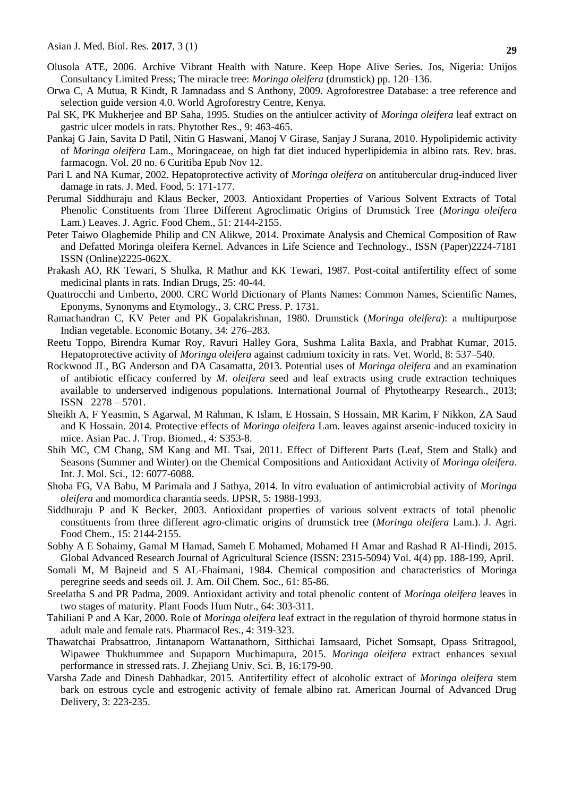- Olusola ATE, 2006. Archive Vibrant Health with Nature. Keep Hope Alive Series. Jos, Nigeria: Unijos Consultancy Limited Press; The miracle tree: *Moringa oleifera* (drumstick) pp. 120–136.
- Orwa C, A Mutua, R Kindt, R Jamnadass and S Anthony, 2009. Agroforestree Database: a tree reference and selection guide version 4.0. World Agroforestry Centre, Kenya*.*
- Pal SK, PK Mukherjee and BP Saha, 1995. Studies on the antiulcer activity of *Moringa oleifera* leaf extract on gastric ulcer models in rats. Phytother Res., 9: 463-465.
- Pankaj G Jain, Savita D Patil, Nitin G Haswani, Manoj V Girase, Sanjay J Surana, 2010. Hypolipidemic activity of *Moringa oleifera* Lam., Moringaceae, on high fat diet induced hyperlipidemia in albino rats. Rev. bras. farmacogn. Vol. 20 no. 6 Curitiba Epub Nov 12.
- [Pari L](http://www.ncbi.nlm.nih.gov/pubmed/?term=Pari%20L%5BAuthor%5D&cauthor=true&cauthor_uid=12495589) and NA [Kumar,](http://www.ncbi.nlm.nih.gov/pubmed/?term=Kumar%20NA%5BAuthor%5D&cauthor=true&cauthor_uid=12495589) 2002. Hepatoprotective activity of *Moringa oleifera* on antitubercular drug-induced liver damage in rats. J. Med. Food, 5: 171-177.
- Perumal Siddhuraju and Klaus Becker, 2003. Antioxidant Properties of Various Solvent Extracts of Total Phenolic Constituents from Three Different Agroclimatic Origins of Drumstick Tree (*Moringa oleifera*  Lam.) Leaves. J. Agric. Food Chem., 51: 2144-2155.
- Peter Taiwo Olagbemide Philip and CN Alikwe, 2014. Proximate Analysis and Chemical Composition of Raw and Defatted Moringa oleifera Kernel. Advances in Life Science and Technology., ISSN (Paper)2224-7181 ISSN (Online)2225-062X.
- Prakash AO, RK Tewari, S Shulka, R Mathur and KK Tewari, 1987. Post-coital antifertility effect of some medicinal plants in rats. Indian Drugs, 25: 40-44.
- Quattrocchi and Umberto, 2000. CRC World Dictionary of Plants Names: Common Names, Scientific Names, Eponyms, Synonyms and Etymology., 3. CRC Press. P. 1731.
- Ramachandran C, KV Peter and PK Gopalakrishnan, 1980. Drumstick (*Moringa oleifera*): a multipurpose Indian vegetable. Economic Botany, 34: 276–283.
- [Reetu Toppo,](http://www.ncbi.nlm.nih.gov/pubmed/?term=Toppo%20R%5BAuthor%5D&cauthor=true&cauthor_uid=27047130) [Birendra Kumar Roy,](http://www.ncbi.nlm.nih.gov/pubmed/?term=Roy%20BK%5BAuthor%5D&cauthor=true&cauthor_uid=27047130) [Ravuri Halley Gora,](http://www.ncbi.nlm.nih.gov/pubmed/?term=Gora%20RH%5BAuthor%5D&cauthor=true&cauthor_uid=27047130) [Sushma Lalita Baxla,](http://www.ncbi.nlm.nih.gov/pubmed/?term=Baxla%20SL%5BAuthor%5D&cauthor=true&cauthor_uid=27047130) and [Prabhat Kumar,](http://www.ncbi.nlm.nih.gov/pubmed/?term=Kumar%20P%5BAuthor%5D&cauthor=true&cauthor_uid=27047130) 2015. Hepatoprotective activity of *Moringa oleifera* against cadmium toxicity in rats. Vet. World, 8: 537–540.
- Rockwood JL, BG Anderson and DA Casamatta, 2013. Potential uses of *Moringa oleifera* and an examination of antibiotic efficacy conferred by *M. oleifera* seed and leaf extracts using crude extraction techniques available to underserved indigenous populations. International Journal of Phytothearpy Research., 2013; ISSN 2278 – 5701.
- [Sheikh A,](http://www.ncbi.nlm.nih.gov/pubmed/?term=Sheikh%20A%5BAuthor%5D&cauthor=true&cauthor_uid=25183111) F [Yeasmin,](http://www.ncbi.nlm.nih.gov/pubmed/?term=Yeasmin%20F%5BAuthor%5D&cauthor=true&cauthor_uid=25183111) S [Agarwal,](http://www.ncbi.nlm.nih.gov/pubmed/?term=Agarwal%20S%5BAuthor%5D&cauthor=true&cauthor_uid=25183111) M [Rahman,](http://www.ncbi.nlm.nih.gov/pubmed/?term=Rahman%20M%5BAuthor%5D&cauthor=true&cauthor_uid=25183111) K [Islam,](http://www.ncbi.nlm.nih.gov/pubmed/?term=Islam%20K%5BAuthor%5D&cauthor=true&cauthor_uid=25183111) E [Hossain,](http://www.ncbi.nlm.nih.gov/pubmed/?term=Hossain%20E%5BAuthor%5D&cauthor=true&cauthor_uid=25183111) S [Hossain,](http://www.ncbi.nlm.nih.gov/pubmed/?term=Hossain%20S%5BAuthor%5D&cauthor=true&cauthor_uid=25183111) MR [Karim,](http://www.ncbi.nlm.nih.gov/pubmed/?term=Karim%20MR%5BAuthor%5D&cauthor=true&cauthor_uid=25183111) F [Nikkon,](http://www.ncbi.nlm.nih.gov/pubmed/?term=Nikkon%20F%5BAuthor%5D&cauthor=true&cauthor_uid=25183111) ZA [Saud](http://www.ncbi.nlm.nih.gov/pubmed/?term=Saud%20ZA%5BAuthor%5D&cauthor=true&cauthor_uid=25183111) and K [Hossain.](http://www.ncbi.nlm.nih.gov/pubmed/?term=Hossain%20K%5BAuthor%5D&cauthor=true&cauthor_uid=25183111) 2014. Protective effects of *Moringa oleifera* Lam. leaves against arsenic-induced toxicity in mice. [Asian Pac. J. Trop. Biomed](http://www.ncbi.nlm.nih.gov/pubmed/25183111)*.*, 4: S353-8.
- Shih MC, CM Chang, SM Kang and ML Tsai, 2011. Effect of Different Parts (Leaf, Stem and Stalk) and Seasons (Summer and Winter) on the Chemical Compositions and Antioxidant Activity of *Moringa oleifera*. Int. J. Mol. Sci., 12: 6077-6088.
- Shoba FG, VA Babu, M Parimala and J Sathya, 2014. In vitro evaluation of antimicrobial activity of *Moringa oleifera* and momordica charantia seeds. IJPSR, 5: 1988-1993.
- Siddhuraju P and K Becker, 2003. Antioxidant properties of various solvent extracts of total phenolic constituents from three different agro-climatic origins of drumstick tree (*Moringa oleifera* Lam.). J. Agri. Food Chem., 15: 2144-2155.
- Sobhy A E Sohaimy, Gamal M Hamad, Sameh E Mohamed, Mohamed H Amar and Rashad R Al-Hindi, 2015. Global Advanced Research Journal of Agricultural Science (ISSN: 2315-5094) Vol. 4(4) pp. 188-199, April.
- Somali M, M Bajneid and S AL-Fhaimani, 1984. Chemical composition and characteristics of Moringa peregrine seeds and seeds oil. J. Am. Oil Chem. Soc., 61: 85-86.
- Sreelatha S and PR Padma, 2009. Antioxidant activity and total phenolic content of *Moringa oleifera* leaves in two stages of maturity. Plant Foods Hum Nutr., 64: 303-311.
- Tahiliani P and A Kar, 2000. Role of *Moringa oleifera* leaf extract in the regulation of thyroid hormone status in adult male and female rats. Pharmacol Res., 4: 319-323.
- Thawatchai Prabsattroo, Jintanaporn Wattanathorn, Sitthichai Iamsaard, Pichet Somsapt, Opass Sritragool, Wipawee Thukhummee and Supaporn Muchimapura, 2015. *Moringa oleifera* extract enhances sexual performance in stressed rats. [J. Zhejiang Univ. Sci. B,](http://www.ncbi.nlm.nih.gov/pubmed/25743119) 16:179-90.
- Varsha Zade and Dinesh Dabhadkar, 2015*.* Antifertility effect of alcoholic extract of *Moringa oleifera* stem bark on estrous cycle and estrogenic activity of female albino rat. American Journal of Advanced Drug Delivery, 3: 223-235.